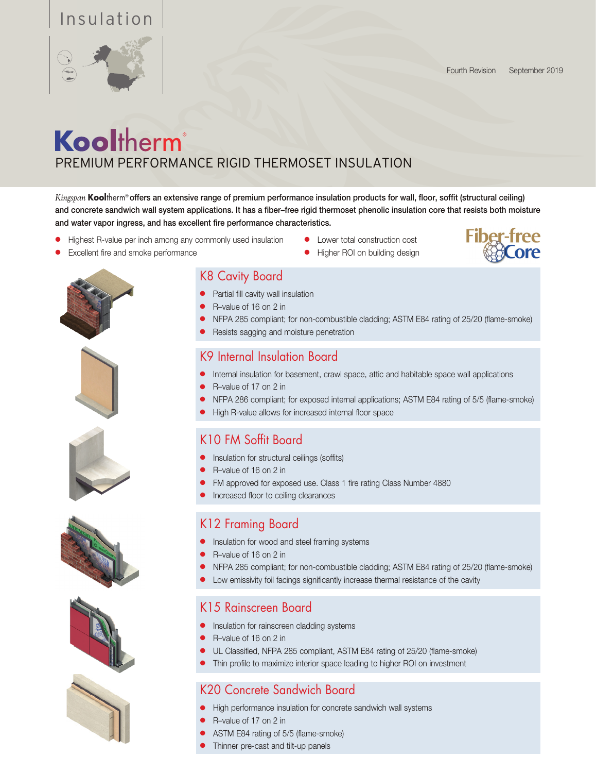### Insulation



## Kooltherm® PREMIUM PERFORMANCE RIGID THERMOSET INSULATION

*Kingspan* **Kool**therm® offers an extensive range of premium performance insulation products for wall, floor, soffit (structural ceiling) and concrete sandwich wall system applications. It has a fiber–free rigid thermoset phenolic insulation core that resists both moisture and water vapor ingress, and has excellent fire performance characteristics.

- Highest R-value per inch among any commonly used insulation
- Excellent fire and smoke performance
- $\bullet$  Lower total construction cost
- Higher ROI on building design















#### K8 Cavity Board

- **•** Partial fill cavity wall insulation
- R–value of 16 on 2 in
- NFPA 285 compliant; for non-combustible cladding; ASTM E84 rating of 25/20 (flame-smoke)
- Resists sagging and moisture penetration

#### K9 Internal Insulation Board

- Internal insulation for basement, crawl space, attic and habitable space wall applications
- R–value of 17 on 2 in
- NFPA 286 compliant; for exposed internal applications; ASTM E84 rating of 5/5 (flame-smoke)
- High R-value allows for increased internal floor space

#### K10 FM Soffit Board

- Insulation for structural ceilings (soffits)
- R-value of 16 on 2 in
- FM approved for exposed use. Class 1 fire rating Class Number 4880
- Increased floor to ceiling clearances

#### K12 Framing Board

- **.** Insulation for wood and steel framing systems
- R-value of 16 on 2 in
- NFPA 285 compliant; for non-combustible cladding; ASTM E84 rating of 25/20 (flame-smoke)
- Low emissivity foil facings significantly increase thermal resistance of the cavity

#### K15 Rainscreen Board

- **•** Insulation for rainscreen cladding systems
- R-value of 16 on 2 in
- **UL Classified, NFPA 285 compliant, ASTM E84 rating of 25/20 (flame-smoke)**
- Thin profile to maximize interior space leading to higher ROI on investment

#### K20 Concrete Sandwich Board

- **•** High performance insulation for concrete sandwich wall systems
- $\bullet$  R–value of 17 on 2 in
- ASTM E84 rating of 5/5 (flame-smoke)
- Thinner pre-cast and tilt-up panels